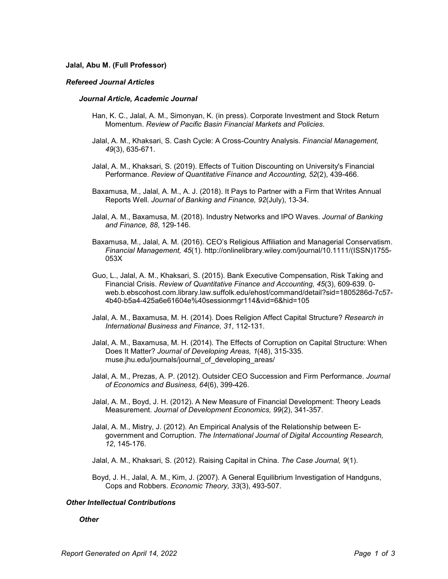## **Jalal, Abu M. (Full Professor)**

## *Refereed Journal Articles*

#### *Journal Article, Academic Journal*

- Han, K. C., Jalal, A. M., Simonyan, K. (in press). Corporate Investment and Stock Return Momentum. *Review of Pacific Basin Financial Markets and Policies*.
- Jalal, A. M., Khaksari, S. Cash Cycle: A Cross-Country Analysis. *Financial Management, 49*(3), 635-671.
- Jalal, A. M., Khaksari, S. (2019). Effects of Tuition Discounting on University's Financial Performance. *Review of Quantitative Finance and Accounting, 52*(2), 439-466.
- Baxamusa, M., Jalal, A. M., A. J. (2018). It Pays to Partner with a Firm that Writes Annual Reports Well. *Journal of Banking and Finance, 92*(July), 13-34.
- Jalal, A. M., Baxamusa, M. (2018). Industry Networks and IPO Waves. *Journal of Banking and Finance, 88*, 129-146.
- Baxamusa, M., Jalal, A. M. (2016). CEO's Religious Affiliation and Managerial Conservatism. *Financial Management, 45*(1). http://onlinelibrary.wiley.com/journal/10.1111/(ISSN)1755- 053X
- Guo, L., Jalal, A. M., Khaksari, S. (2015). Bank Executive Compensation, Risk Taking and Financial Crisis. *Review of Quantitative Finance and Accounting, 45*(3), 609-639. 0 web.b.ebscohost.com.library.law.suffolk.edu/ehost/command/detail?sid=1805286d-7c57- 4b40-b5a4-425a6e61604e%40sessionmgr114&vid=6&hid=105
- Jalal, A. M., Baxamusa, M. H. (2014). Does Religion Affect Capital Structure? *Research in International Business and Finance, 31*, 112-131.
- Jalal, A. M., Baxamusa, M. H. (2014). The Effects of Corruption on Capital Structure: When Does It Matter? *Journal of Developing Areas, 1*(48), 315-335. muse.jhu.edu/journals/journal\_of\_developing\_areas/
- Jalal, A. M., Prezas, A. P. (2012). Outsider CEO Succession and Firm Performance. *Journal of Economics and Business, 64*(6), 399-426.
- Jalal, A. M., Boyd, J. H. (2012). A New Measure of Financial Development: Theory Leads Measurement. *Journal of Development Economics, 99*(2), 341-357.
- Jalal, A. M., Mistry, J. (2012). An Empirical Analysis of the Relationship between Egovernment and Corruption. *The International Journal of Digital Accounting Research, 12*, 145-176.
- Jalal, A. M., Khaksari, S. (2012). Raising Capital in China. *The Case Journal, 9*(1).
- Boyd, J. H., Jalal, A. M., Kim, J. (2007). A General Equilibrium Investigation of Handguns, Cops and Robbers. *Economic Theory, 33*(3), 493-507.

## *Other Intellectual Contributions*

# *Other*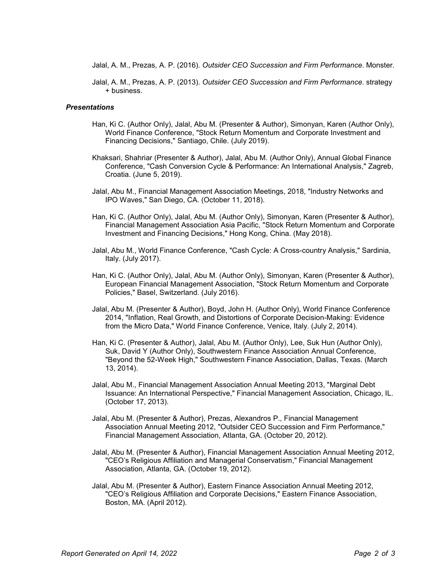- Jalal, A. M., Prezas, A. P. (2016). *Outsider CEO Succession and Firm Performance*. Monster.
- Jalal, A. M., Prezas, A. P. (2013). *Outsider CEO Succession and Firm Performance*. strategy + business.

## *Presentations*

- Han, Ki C. (Author Only), Jalal, Abu M. (Presenter & Author), Simonyan, Karen (Author Only), World Finance Conference, "Stock Return Momentum and Corporate Investment and Financing Decisions," Santiago, Chile. (July 2019).
- Khaksari, Shahriar (Presenter & Author), Jalal, Abu M. (Author Only), Annual Global Finance Conference, "Cash Conversion Cycle & Performance: An International Analysis," Zagreb, Croatia. (June 5, 2019).
- Jalal, Abu M., Financial Management Association Meetings, 2018, "Industry Networks and IPO Waves," San Diego, CA. (October 11, 2018).
- Han, Ki C. (Author Only), Jalal, Abu M. (Author Only), Simonyan, Karen (Presenter & Author), Financial Management Association Asia Pacific, "Stock Return Momentum and Corporate Investment and Financing Decisions," Hong Kong, China. (May 2018).
- Jalal, Abu M., World Finance Conference, "Cash Cycle: A Cross-country Analysis," Sardinia, Italy. (July 2017).
- Han, Ki C. (Author Only), Jalal, Abu M. (Author Only), Simonyan, Karen (Presenter & Author), European Financial Management Association, "Stock Return Momentum and Corporate Policies," Basel, Switzerland. (July 2016).
- Jalal, Abu M. (Presenter & Author), Boyd, John H. (Author Only), World Finance Conference 2014, "Inflation, Real Growth, and Distortions of Corporate Decision-Making: Evidence from the Micro Data," World Finance Conference, Venice, Italy. (July 2, 2014).
- Han, Ki C. (Presenter & Author), Jalal, Abu M. (Author Only), Lee, Suk Hun (Author Only), Suk, David Y (Author Only), Southwestern Finance Association Annual Conference, "Beyond the 52-Week High," Southwestern Finance Association, Dallas, Texas. (March 13, 2014).
- Jalal, Abu M., Financial Management Association Annual Meeting 2013, "Marginal Debt Issuance: An International Perspective," Financial Management Association, Chicago, IL. (October 17, 2013).
- Jalal, Abu M. (Presenter & Author), Prezas, Alexandros P., Financial Management Association Annual Meeting 2012, "Outsider CEO Succession and Firm Performance," Financial Management Association, Atlanta, GA. (October 20, 2012).
- Jalal, Abu M. (Presenter & Author), Financial Management Association Annual Meeting 2012, "CEO's Religious Affiliation and Managerial Conservatism," Financial Management Association, Atlanta, GA. (October 19, 2012).
- Jalal, Abu M. (Presenter & Author), Eastern Finance Association Annual Meeting 2012, "CEO's Religious Affiliation and Corporate Decisions," Eastern Finance Association, Boston, MA. (April 2012).